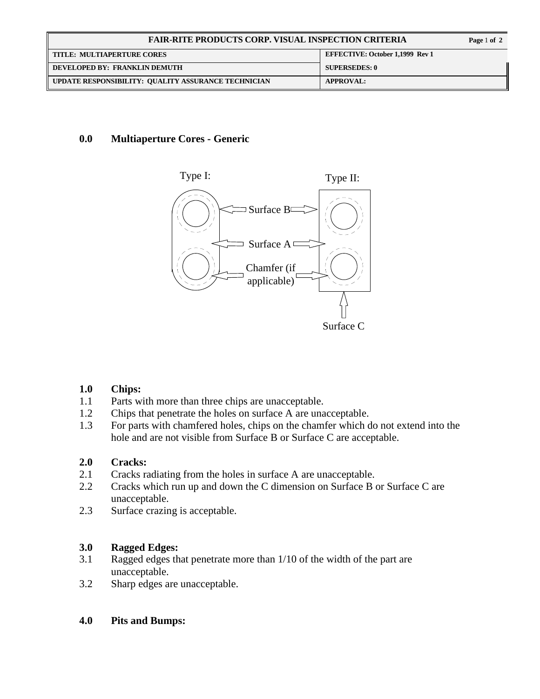| <b>FAIR-RITE PRODUCTS CORP. VISUAL INSPECTION CRITERIA</b> |                                        | Page 1 of 2 |
|------------------------------------------------------------|----------------------------------------|-------------|
| <b>TITLE: MULTIAPERTURE CORES</b>                          | <b>EFFECTIVE: October 1,1999 Rev 1</b> |             |
| DEVELOPED BY: FRANKLIN DEMUTH                              | <b>SUPERSEDES: 0</b>                   |             |
| UPDATE RESPONSIBILITY: QUALITY ASSURANCE TECHNICIAN        | <b>APPROVAL:</b>                       |             |

## **0.0 Multiaperture Cores - Generic**



#### **1.0 Chips:**

- 1.1 Parts with more than three chips are unacceptable.
- 1.2 Chips that penetrate the holes on surface A are unacceptable.
- 1.3 For parts with chamfered holes, chips on the chamfer which do not extend into the hole and are not visible from Surface B or Surface C are acceptable.

# **2.0 Cracks:**

- 2.1 Cracks radiating from the holes in surface A are unacceptable.
- 2.2 Cracks which run up and down the C dimension on Surface B or Surface C are unacceptable.
- 2.3 Surface crazing is acceptable.

# **3.0 Ragged Edges:**

- 3.1 Ragged edges that penetrate more than 1/10 of the width of the part are unacceptable.
- 3.2 Sharp edges are unacceptable.

#### **4.0 Pits and Bumps:**